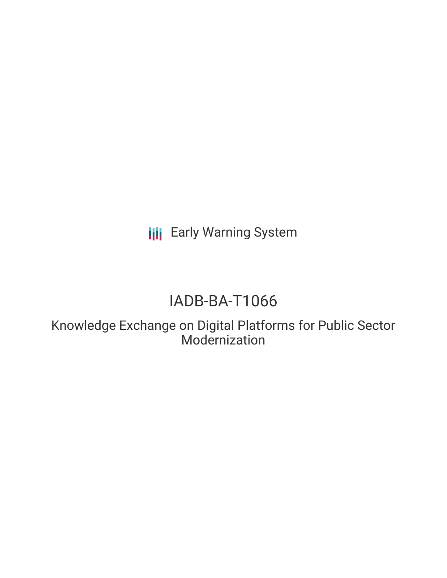**III** Early Warning System

# IADB-BA-T1066

Knowledge Exchange on Digital Platforms for Public Sector Modernization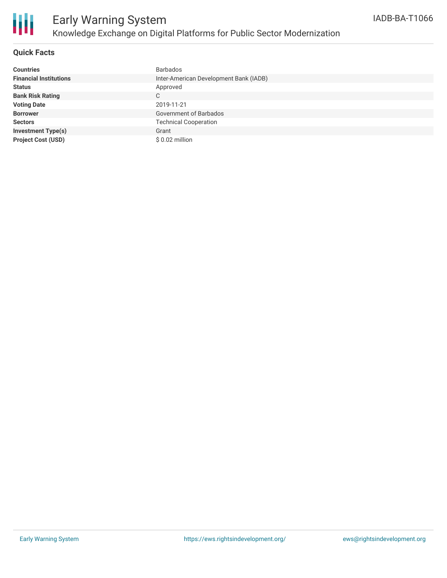

### **Quick Facts**

| <b>Countries</b>              | <b>Barbados</b>                        |
|-------------------------------|----------------------------------------|
| <b>Financial Institutions</b> | Inter-American Development Bank (IADB) |
| <b>Status</b>                 | Approved                               |
| <b>Bank Risk Rating</b>       | C                                      |
| <b>Voting Date</b>            | 2019-11-21                             |
| <b>Borrower</b>               | <b>Government of Barbados</b>          |
| <b>Sectors</b>                | <b>Technical Cooperation</b>           |
| <b>Investment Type(s)</b>     | Grant                                  |
| <b>Project Cost (USD)</b>     | $$0.02$ million                        |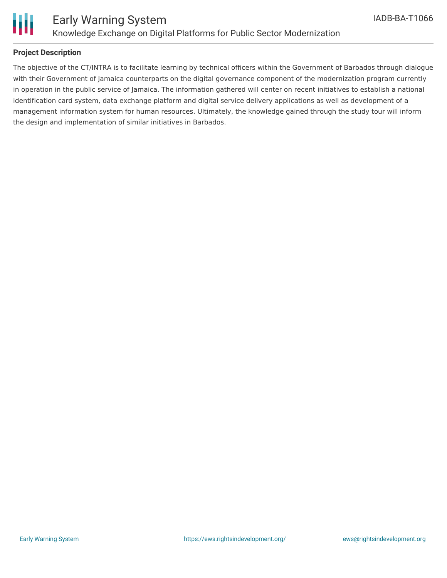

### **Project Description**

The objective of the CT/INTRA is to facilitate learning by technical officers within the Government of Barbados through dialogue with their Government of Jamaica counterparts on the digital governance component of the modernization program currently in operation in the public service of Jamaica. The information gathered will center on recent initiatives to establish a national identification card system, data exchange platform and digital service delivery applications as well as development of a management information system for human resources. Ultimately, the knowledge gained through the study tour will inform the design and implementation of similar initiatives in Barbados.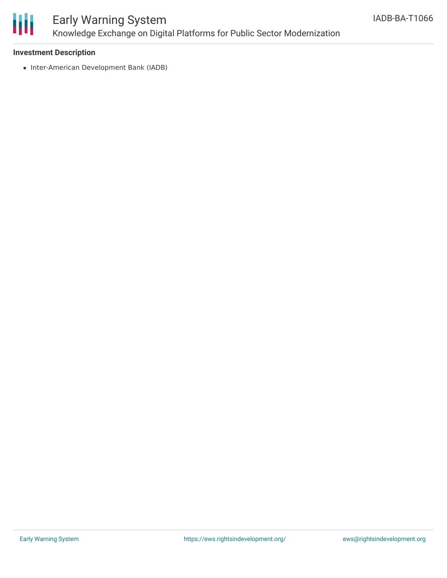

## Early Warning System Knowledge Exchange on Digital Platforms for Public Sector Modernization

### **Investment Description**

• Inter-American Development Bank (IADB)